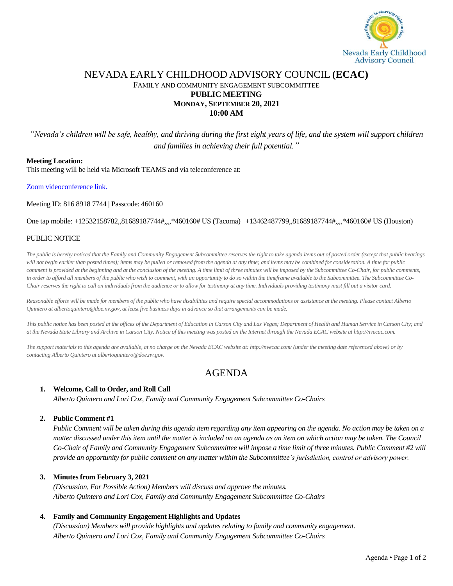

## NEVADA EARLY CHILDHOOD ADVISORY COUNCIL **(ECAC)** FAMILY AND COMMUNITY ENGAGEMENT SUBCOMMITTEE **PUBLIC MEETING MONDAY, SEPTEMBER 20, 2021 10:00 AM**

*"Nevada's children will be safe, healthy, and thriving during the first eight years of life, and the system will support children and families in achieving their full potential."*

#### **Meeting Location:**

This meeting will be held via Microsoft TEAMS and via teleconference at:

Zoom [videoconference link.](https://us06web.zoom.us/j/81689187744?pwd=QmpoMTk4bzN5UHFSQ05FMWtkWkJBUT09)

Meeting ID: 816 8918 7744 | Passcode: 460160

One tap mobile: +12532158782,,81689187744#,,,,\*460160# US (Tacoma) | +13462487799,,81689187744#,,,,\*460160# US (Houston)

### PUBLIC NOTICE

*The public is hereby noticed that the Family and Community Engagement Subcommittee reserves the right to take agenda items out of posted order (except that public hearings*  will not begin earlier than posted times); items may be pulled or removed from the agenda at any time; and items may be combined for consideration. A time for public *comment is provided at the beginning and at the conclusion of the meeting. A time limit of three minutes will be imposed by the Subcommittee Co-Chair, for public comments, in order to afford all members of the public who wish to comment, with an opportunity to do so within the timeframe available to the Subcommittee. The Subcommittee Co-Chair reserves the right to call on individuals from the audience or to allow for testimony at any time. Individuals providing testimony must fill out a visitor card.* 

*Reasonable efforts will be made for members of the public who have disabilities and require special accommodations or assistance at the meeting. Please contact Alberto Quintero at albertoquintero@doe.nv.gov, at least five business days in advance so that arrangements can be made.*

*This public notice has been posted at the offices of the Department of Education in Carson City and Las Vegas; Department of Health and Human Service in Carson City; and at the Nevada State Library and Archive in Carson City. Notice of this meeting was posted on the Internet through the Nevada ECAC website at http://nvecac.com.*

*The support materials to this agenda are available, at no charge on the Nevada ECAC website at: http://nvecac.com/ (under the meeting date referenced above) or by contacting Alberto Quintero at albertoquintero@doe.nv.gov.*

# AGENDA

### **1. Welcome, Call to Order, and Roll Call**

*Alberto Quintero and Lori Cox, Family and Community Engagement Subcommittee Co-Chairs*

### **2. Public Comment #1**

*Public Comment will be taken during this agenda item regarding any item appearing on the agenda. No action may be taken on a matter discussed under this item until the matter is included on an agenda as an item on which action may be taken. The Council Co-Chair of Family and Community Engagement Subcommittee will impose a time limit of three minutes. Public Comment #2 will provide an opportunity for public comment on any matter within the Subcommittee's jurisdiction, control or advisory power.*

### **3. Minutes from February 3, 2021**

*(Discussion, For Possible Action) Members will discuss and approve the minutes. Alberto Quintero and Lori Cox, Family and Community Engagement Subcommittee Co-Chairs*

### **4. Family and Community Engagement Highlights and Updates**

*(Discussion) Members will provide highlights and updates relating to family and community engagement. Alberto Quintero and Lori Cox, Family and Community Engagement Subcommittee Co-Chairs*